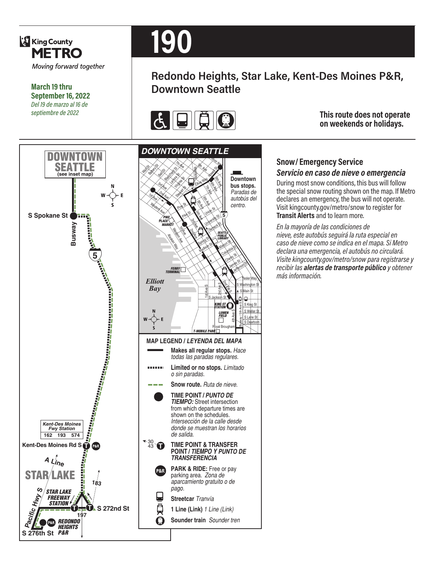

**March 19 thru September 16, 2022** *Del 19 de marzo al 16 de septiembre de 2022*

# **190**

# **Redondo Heights, Star Lake, Kent-Des Moines P&R, Downtown Seattle**



**This route does not operate on weekends or holidays.**



#### **Snow/ Emergency Service**  *Servicio en caso de nieve o emergencia*

During most snow conditions, this bus will follow the special snow routing shown on the map. If Metro declares an emergency, the bus will not operate. Visit kingcounty.gov/metro/snow to register for **Transit Alerts** and to learn more.

*En la mayoría de las condiciones de nieve, este autobús seguirá la ruta especial en caso de nieve como se indica en el mapa. Si Metro declara una emergencia, el autobús no circulará. Visite kingcounty.gov/metro/snow para registrarse y recibir las alertas de transporte público y obtener más información.*